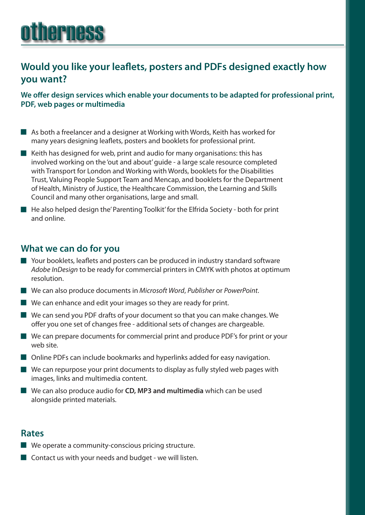# otherness

## **Would you like your leaflets, posters and PDFs designed exactly how you want?**

**We offer design services which enable your documents to be adapted for professional print, PDF, web pages or multimedia**

- $\blacksquare$  As both a freelancer and a designer at Working with Words, Keith has worked for many years designing leaflets, posters and booklets for professional print.
- $\blacksquare$  Keith has designed for web, print and audio for many organisations: this has involved working on the 'out and about' guide - a large scale resource completed with Transport for London and Working with Words, booklets for the Disabilities Trust, Valuing People Support Team and Mencap, and booklets for the Department of Health, Ministry of Justice, the Healthcare Commission, the Learning and Skills Council and many other organisations, large and small.
- $\blacksquare$  He also helped design the' Parenting Toolkit' for the Elfrida Society both for print and online.

## **What we can do for you**

- $\blacksquare$  Your booklets, leaflets and posters can be produced in industry standard software *Adobe InDesign* to be ready for commercial printers in CMYK with photos at optimum resolution.
- We can also produce documents in *Microsoft Word*, *Publisher* or *PowerPoint*.
- $\blacksquare$  We can enhance and edit your images so they are ready for print.
- $\blacksquare$  We can send you PDF drafts of your document so that you can make changes. We offer you one set of changes free - additional sets of changes are chargeable.
- $\blacksquare$  We can prepare documents for commercial print and produce PDF's for print or your web site.
- $\blacksquare$  Online PDFs can include bookmarks and hyperlinks added for easy navigation.
- $\blacksquare$  We can repurpose your print documents to display as fully styled web pages with images, links and multimedia content.
- We can also produce audio for **CD, MP3 and multimedia** which can be used alongside printed materials.

#### **Rates**

- $\blacksquare$  We operate a community-conscious pricing structure.
- $\blacksquare$  Contact us with your needs and budget we will listen.